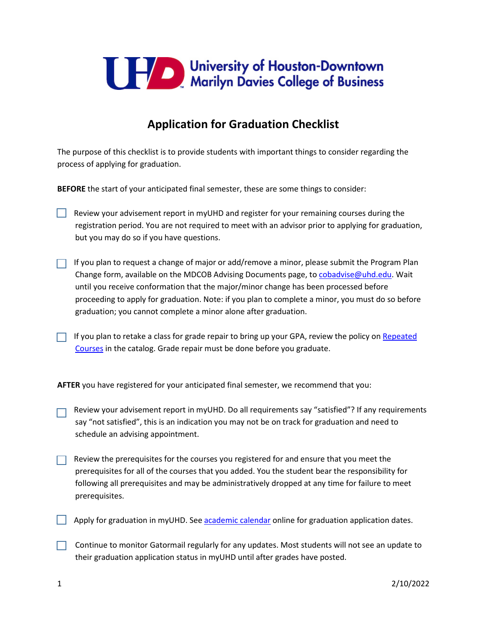

## **Application for Graduation Checklist**

The purpose of this checklist is to provide students with important things to consider regarding the process of applying for graduation.

**BEFORE** the start of your anticipated final semester, these are some things to consider:

- Review your advisement report in myUHD and register for your remaining courses during the registration period. You are not required to meet with an advisor prior to applying for graduation, but you may do so if you have questions.
- $\Box$  If you plan to request a change of major or add/remove a minor, please submit the Program Plan Change form, available on the MDCOB Advising Documents page, to [cobadvise@uhd.edu.](mailto:cobadvise@uhd.edu) Wait until you receive conformation that the major/minor change has been processed before proceeding to apply for graduation. Note: if you plan to complete a minor, you must do so before graduation; you cannot complete a minor alone after graduation.
- If you plan to retake a class for grade repair to bring up your GPA, review the policy on Repeated [Courses](https://catalog.uhd.edu/content.php?catoid=21&navoid=1445#grading-system-and-standards) in the catalog. Grade repair must be done before you graduate.

**AFTER** you have registered for your anticipated final semester, we recommend that you:

- Review your advisement report in myUHD. Do all requirements say "satisfied"? If any requirements say "not satisfied", this is an indication you may not be on track for graduation and need to schedule an advising appointment.
- Review the prerequisites for the courses you registered for and ensure that you meet the prerequisites for all of the courses that you added. You the student bear the responsibility for following all prerequisites and may be administratively dropped at any time for failure to meet prerequisites.
- $\Box$  Apply for graduation in myUHD. See [academic calendar](https://www.uhd.edu/academics/calendars/Pages/default.aspx) online for graduation application dates.
- $\Box$  Continue to monitor Gatormail regularly for any updates. Most students will not see an update to their graduation application status in myUHD until after grades have posted.